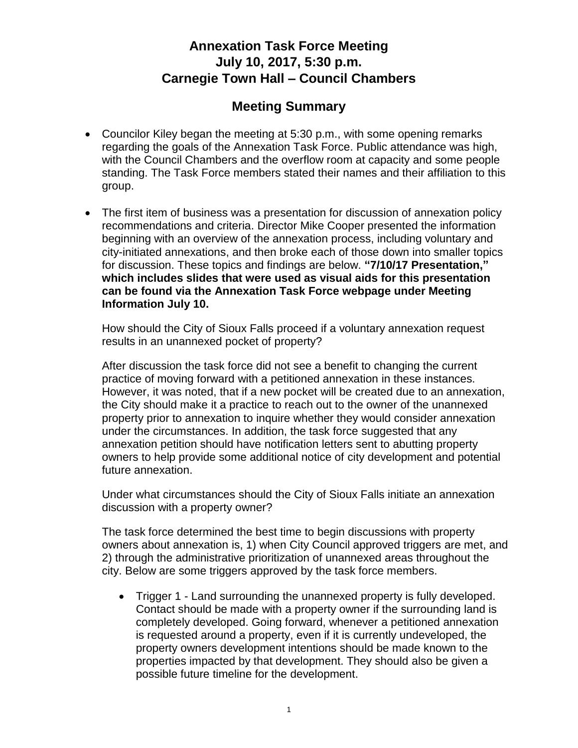## **Annexation Task Force Meeting July 10, 2017, 5:30 p.m. Carnegie Town Hall – Council Chambers**

## **Meeting Summary**

- Councilor Kiley began the meeting at 5:30 p.m., with some opening remarks regarding the goals of the Annexation Task Force. Public attendance was high, with the Council Chambers and the overflow room at capacity and some people standing. The Task Force members stated their names and their affiliation to this group.
- The first item of business was a presentation for discussion of annexation policy recommendations and criteria. Director Mike Cooper presented the information beginning with an overview of the annexation process, including voluntary and city-initiated annexations, and then broke each of those down into smaller topics for discussion. These topics and findings are below. **"7/10/17 Presentation," which includes slides that were used as visual aids for this presentation can be found via the Annexation Task Force webpage under Meeting Information July 10.**

How should the City of Sioux Falls proceed if a voluntary annexation request results in an unannexed pocket of property?

After discussion the task force did not see a benefit to changing the current practice of moving forward with a petitioned annexation in these instances. However, it was noted, that if a new pocket will be created due to an annexation, the City should make it a practice to reach out to the owner of the unannexed property prior to annexation to inquire whether they would consider annexation under the circumstances. In addition, the task force suggested that any annexation petition should have notification letters sent to abutting property owners to help provide some additional notice of city development and potential future annexation.

Under what circumstances should the City of Sioux Falls initiate an annexation discussion with a property owner?

The task force determined the best time to begin discussions with property owners about annexation is, 1) when City Council approved triggers are met, and 2) through the administrative prioritization of unannexed areas throughout the city. Below are some triggers approved by the task force members.

 Trigger 1 - Land surrounding the unannexed property is fully developed. Contact should be made with a property owner if the surrounding land is completely developed. Going forward, whenever a petitioned annexation is requested around a property, even if it is currently undeveloped, the property owners development intentions should be made known to the properties impacted by that development. They should also be given a possible future timeline for the development.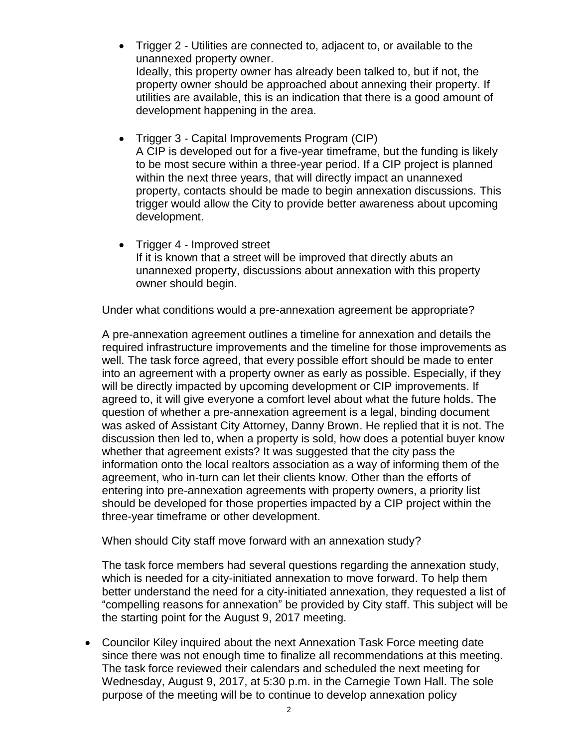- Trigger 2 Utilities are connected to, adjacent to, or available to the unannexed property owner. Ideally, this property owner has already been talked to, but if not, the property owner should be approached about annexing their property. If utilities are available, this is an indication that there is a good amount of development happening in the area.
- Trigger 3 Capital Improvements Program (CIP) A CIP is developed out for a five-year timeframe, but the funding is likely to be most secure within a three-year period. If a CIP project is planned within the next three years, that will directly impact an unannexed property, contacts should be made to begin annexation discussions. This trigger would allow the City to provide better awareness about upcoming development.
- Trigger 4 Improved street If it is known that a street will be improved that directly abuts an unannexed property, discussions about annexation with this property owner should begin.

Under what conditions would a pre-annexation agreement be appropriate?

A pre-annexation agreement outlines a timeline for annexation and details the required infrastructure improvements and the timeline for those improvements as well. The task force agreed, that every possible effort should be made to enter into an agreement with a property owner as early as possible. Especially, if they will be directly impacted by upcoming development or CIP improvements. If agreed to, it will give everyone a comfort level about what the future holds. The question of whether a pre-annexation agreement is a legal, binding document was asked of Assistant City Attorney, Danny Brown. He replied that it is not. The discussion then led to, when a property is sold, how does a potential buyer know whether that agreement exists? It was suggested that the city pass the information onto the local realtors association as a way of informing them of the agreement, who in-turn can let their clients know. Other than the efforts of entering into pre-annexation agreements with property owners, a priority list should be developed for those properties impacted by a CIP project within the three-year timeframe or other development.

When should City staff move forward with an annexation study?

The task force members had several questions regarding the annexation study, which is needed for a city-initiated annexation to move forward. To help them better understand the need for a city-initiated annexation, they requested a list of "compelling reasons for annexation" be provided by City staff. This subject will be the starting point for the August 9, 2017 meeting.

 Councilor Kiley inquired about the next Annexation Task Force meeting date since there was not enough time to finalize all recommendations at this meeting. The task force reviewed their calendars and scheduled the next meeting for Wednesday, August 9, 2017, at 5:30 p.m. in the Carnegie Town Hall. The sole purpose of the meeting will be to continue to develop annexation policy